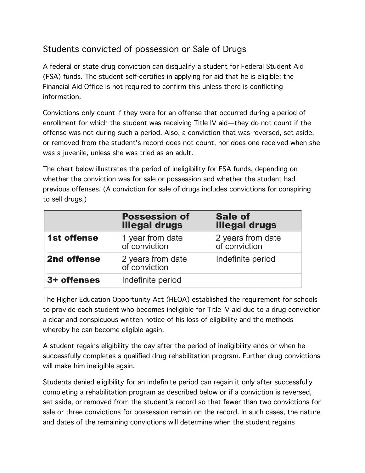## Students convicted of possession or Sale of Drugs

A federal or state drug conviction can disqualify a student for Federal Student Aid (FSA) funds. The student self-certifies in applying for aid that he is eligible; the Financial Aid Office is not required to confirm this unless there is conflicting information.

Convictions only count if they were for an offense that occurred during a period of enrollment for which the student was receiving Title IV aid—they do not count if the offense was not during such a period. Also, a conviction that was reversed, set aside, or removed from the student's record does not count, nor does one received when she was a juvenile, unless she was tried as an adult.

The chart below illustrates the period of ineligibility for FSA funds, depending on whether the conviction was for sale or possession and whether the student had previous offenses. (A conviction for sale of drugs includes convictions for conspiring to sell drugs.)

|                    | <b>Possession of</b><br><b>illegal drugs</b> | <b>Sale of</b><br><b>illegal drugs</b> |
|--------------------|----------------------------------------------|----------------------------------------|
| <b>1st offense</b> | 1 year from date<br>of conviction            | 2 years from date<br>of conviction     |
| 2nd offense        | 2 years from date<br>of conviction           | Indefinite period                      |
| 3+ offenses        | Indefinite period                            |                                        |

The Higher Education Opportunity Act (HEOA) established the requirement for schools to provide each student who becomes ineligible for Title IV aid due to a drug conviction a clear and conspicuous written notice of his loss of eligibility and the methods whereby he can become eligible again.

A student regains eligibility the day after the period of ineligibility ends or when he successfully completes a qualified drug rehabilitation program. Further drug convictions will make him ineligible again.

Students denied eligibility for an indefinite period can regain it only after successfully completing a rehabilitation program as described below or if a conviction is reversed, set aside, or removed from the student's record so that fewer than two convictions for sale or three convictions for possession remain on the record. In such cases, the nature and dates of the remaining convictions will determine when the student regains